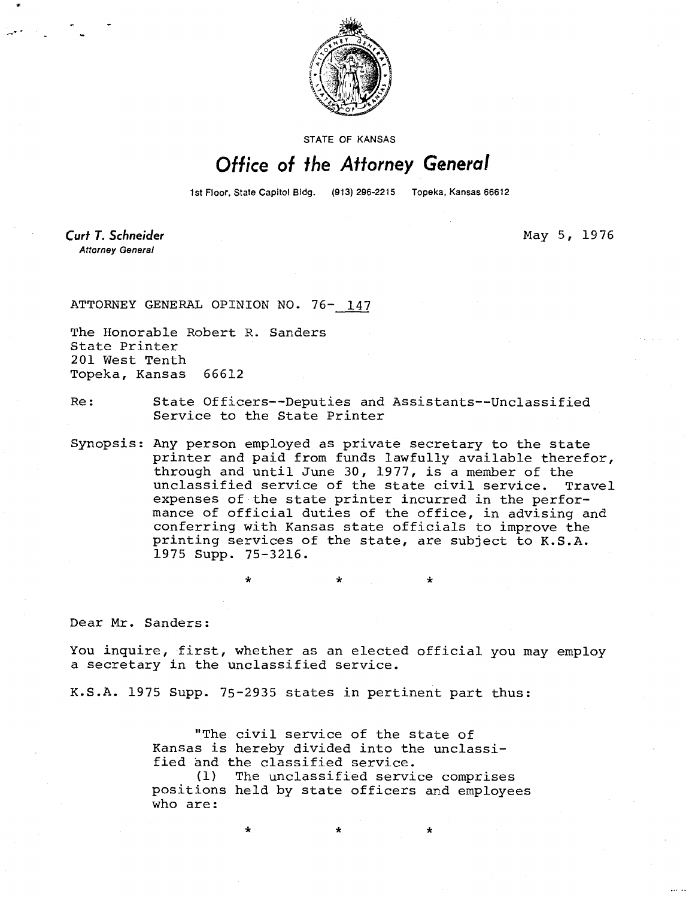

STATE OF KANSAS

## Office of the Attorney General

1st Floor, State Capitol Bldg. (913) 296-2215 Topeka, Kansas 66612

**Curt T. Schneider Attorney General** 

May 5, 1976

ATTORNEY GENERAL OPINION NO. 76- 147

The Honorable Robert R. Sanders State Printer 201 West Tenth Topeka, Kansas 66612

Re: State Officers--Deputies and Assistants--Unclassified Service to the State Printer

Synopsis: Any person employed as private secretary to the state printer and paid from funds lawfully available therefor, through and until June 30, 1977, is a member of the unclassified service of the state civil service. Travel expenses of the state printer incurred in the performance of official duties of the office, in advising and conferring with Kansas state officials to improve the printing services of the state, are subject to K.S.A. 1975 Supp. 75-3216.

Dear Mr. Sanders:

You inquire, first, whether as an elected official you may employ a secretary in the unclassified service.

K.S.A. 1975 Supp. 75-2935 states in pertinent part thus:

"The civil service of the state of Kansas is hereby divided into the unclassified and the classified service.

(1) The unclassified service comprises positions held by state officers and employees who are: